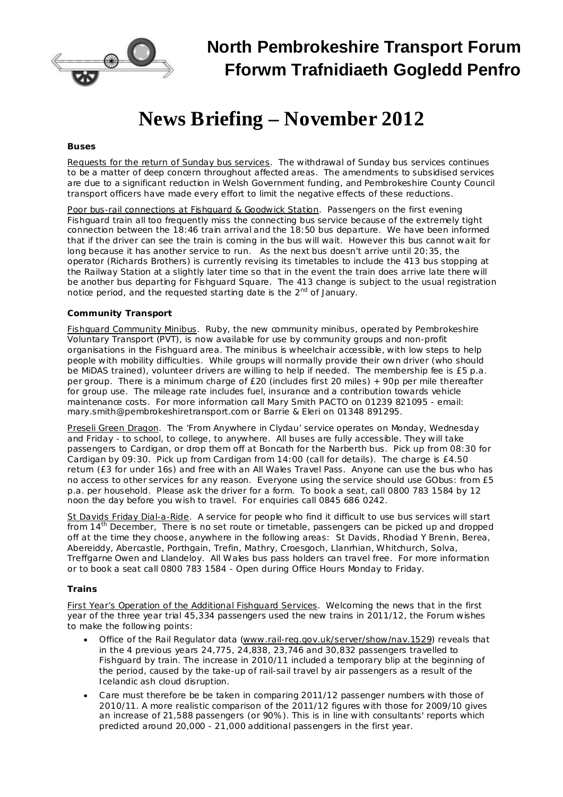

# **North Pembrokeshire Transport Forum Fforwm Trafnidiaeth Gogledd Penfro**

# **News Briefing – November 2012**

## *Buses*

Requests for the return of Sunday bus services. The withdrawal of Sunday bus services continues to be a matter of deep concern throughout affected areas. The amendments to subsidised services are due to a significant reduction in Welsh Government funding, and Pembrokeshire County Council transport officers have made every effort to limit the negative effects of these reductions.

Poor bus-rail connections at Fishguard & Goodwick Station. Passengers on the first evening Fishguard train all too frequently miss the connecting bus service because of the extremely tight connection between the 18:46 train arrival and the 18:50 bus departure. We have been informed that if the driver can see the train is coming in the bus will wait. However this bus cannot wait for long because it has another service to run. As the next bus doesn't arrive until 20:35, the operator (Richards Brothers) is currently revising its timetables to include the 413 bus stopping at the Railway Station at a slightly later time so that in the event the train does arrive late there will be another bus departing for Fishguard Square. The 413 change is subject to the usual registration notice period, and the requested starting date is the 2<sup>nd</sup> of January.

# *Community Transport*

Fishguard Community Minibus. Ruby, the new community minibus, operated by Pembrokeshire Voluntary Transport (PVT), is now available for use by community groups and non-profit organisations in the Fishguard area. The minibus is wheelchair accessible, with low steps to help people with mobility difficulties. While groups will normally provide their own driver (who should be MiDAS trained), volunteer drivers are willing to help if needed. The membership fee is £5 p.a. per group. There is a minimum charge of £20 (includes first 20 miles) + 90p per mile thereafter for group use. The mileage rate includes fuel, insurance and a contribution towards vehicle maintenance costs. For more information call Mary Smith PACTO on 01239 821095 - email: [mary.smith@pembrokeshiretransport.com](mailto:mary.smith@pembrokeshiretransport.com) or Barrie & Eleri on 01348 891295.

Preseli Green Dragon. The 'From Anywhere in Clydau' service operates on Monday, Wednesday and Friday - to school, to college, to anywhere. All buses are fully accessible. They will take passengers to Cardigan, or drop them off at Boncath for the Narberth bus. Pick up from 08:30 for Cardigan by 09:30. Pick up from Cardigan from 14:00 (call for details). The charge is £4.50 return (£3 for under 16s) and free with an All Wales Travel Pass. Anyone can use the bus who has no access to other services for any reason. Everyone using the service should use GObus: from £5 p.a. per household. Please ask the driver for a form. To book a seat, call 0800 783 1584 by 12 noon the day before you wish to travel. For enquiries call 0845 686 0242.

St Davids Friday Dial-a-Ride. A service for people who find it difficult to use bus services will start from 14<sup>th</sup> December, There is no set route or timetable, passengers can be picked up and dropped off at the time they choose, anywhere in the following areas: St Davids, Rhodiad Y Brenin, Berea, Abereiddy, Abercastle, Porthgain, Trefin, Mathry, Croesgoch, Llanrhian, Whitchurch, Solva, Treffgarne Owen and Llandeloy. All Wales bus pass holders can travel free. For more information or to book a seat call 0800 783 1584 - Open during Office Hours Monday to Friday.

### *Trains*

First Year's Operation of the Additional Fishguard Services. Welcoming the news that in the first year of the three year trial 45,334 passengers used the new trains in 2011/12, the Forum wishes to make the following points:

- · Office of the Rail Regulator data [\(www.rail-reg.gov.uk/server/show/nav.1529\)](http://www.rail-reg.gov.uk/server/show/nav.1529) reveals that in the 4 previous years 24,775, 24,838, 23,746 and 30,832 passengers travelled to Fishguard by train. The increase in 2010/11 included a temporary blip at the beginning of the period, caused by the take-up of rail-sail travel by air passengers as a result of the Icelandic ash cloud disruption.
- Care must therefore be be taken in comparing 2011/12 passenger numbers with those of 2010/11. A more realistic comparison of the 2011/12 figures with those for 2009/10 gives an increase of 21,588 passengers (or 90%). This is in line with consultants' reports which predicted around 20,000 - 21,000 additional passengers in the first year.